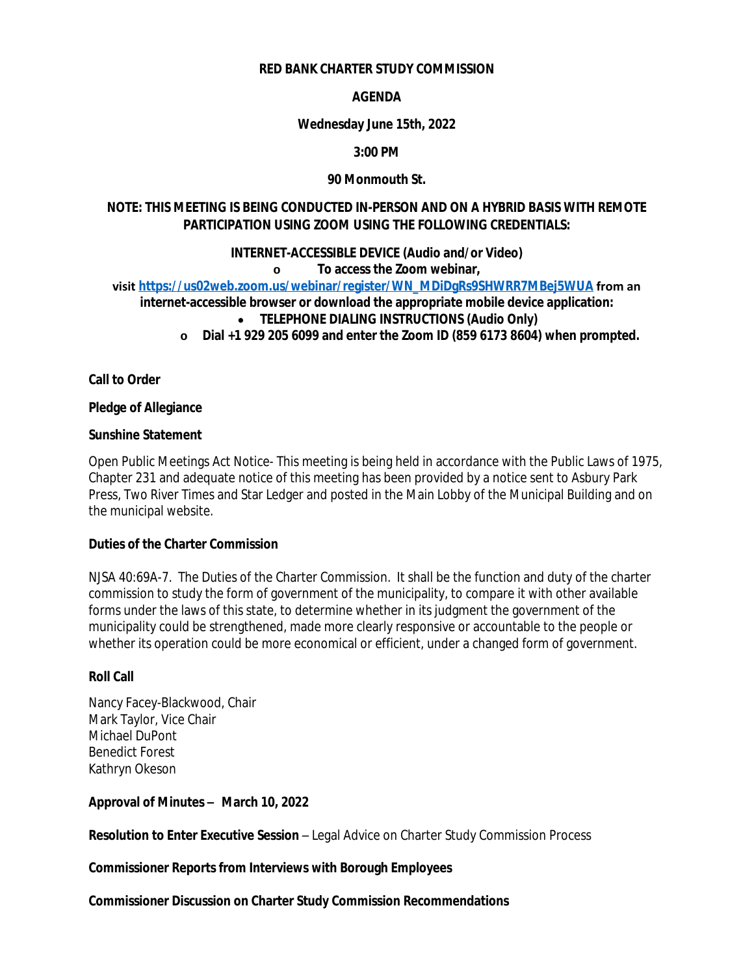#### **RED BANK CHARTER STUDY COMMISSION**

## **AGENDA**

## **Wednesday June 15th, 2022**

## **3:00 PM**

## **90 Monmouth St.**

## **NOTE: THIS MEETING IS BEING CONDUCTED IN-PERSON AND ON A HYBRID BASIS WITH REMOTE PARTICIPATION USING ZOOM USING THE FOLLOWING CREDENTIALS:**

#### **INTERNET-ACCESSIBLE DEVICE (Audio and/or Video)**

#### **o To access the Zoom webinar,**

**visit [https://us02web.zoom.us/webinar/register/WN\\_MDiDgRs9SHWRR7MBej5WUA](https://us02web.zoom.us/webinar/register/WN_MDiDgRs9SHWRR7MBej5WUA) from an**

# **internet-accessible browser or download the appropriate mobile device application:**

- **TELEPHONE DIALING INSTRUCTIONS (Audio Only)**
- **o Dial +1 929 205 6099 and enter the Zoom ID (859 6173 8604) when prompted.**

**Call to Order**

#### **Pledge of Allegiance**

## **Sunshine Statement**

Open Public Meetings Act Notice- This meeting is being held in accordance with the Public Laws of 1975, Chapter 231 and adequate notice of this meeting has been provided by a notice sent to Asbury Park Press, Two River Times and Star Ledger and posted in the Main Lobby of the Municipal Building and on the municipal website.

### **Duties of the Charter Commission**

NJSA 40:69A-7. The Duties of the Charter Commission. It shall be the function and duty of the charter commission to study the form of government of the municipality, to compare it with other available forms under the laws of this state, to determine whether in its judgment the government of the municipality could be strengthened, made more clearly responsive or accountable to the people or whether its operation could be more economical or efficient, under a changed form of government.

#### **Roll Call**

Nancy Facey-Blackwood, Chair Mark Taylor, Vice Chair Michael DuPont Benedict Forest Kathryn Okeson

# **Approval of Minutes – March 10, 2022**

**Resolution to Enter Executive Session** – Legal Advice on Charter Study Commission Process

**Commissioner Reports from Interviews with Borough Employees**

#### **Commissioner Discussion on Charter Study Commission Recommendations**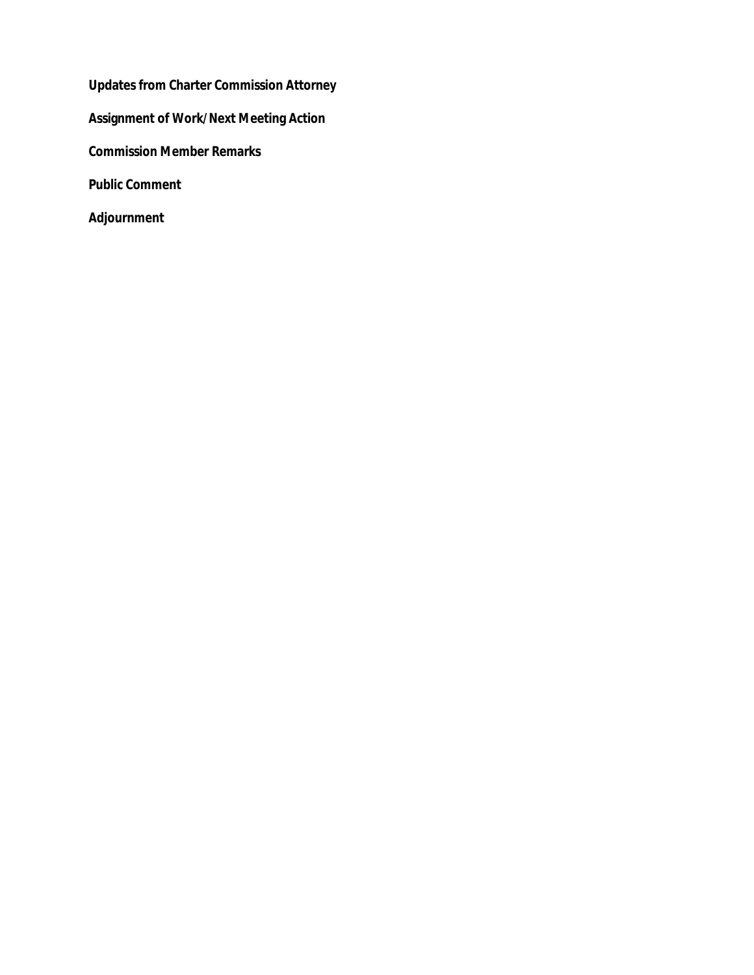**Updates from Charter Commission Attorney Assignment of Work/Next Meeting Action Commission Member Remarks Public Comment Adjournment**